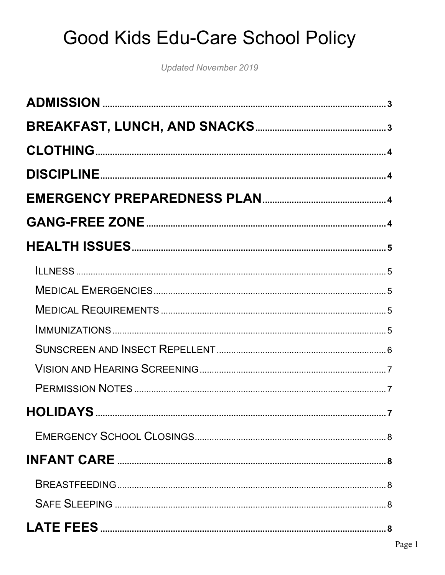**Updated November 2019**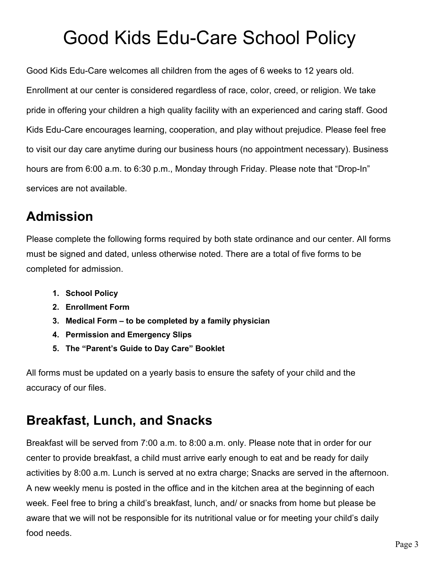Good Kids Edu-Care welcomes all children from the ages of 6 weeks to 12 years old. Enrollment at our center is considered regardless of race, color, creed, or religion. We take pride in offering your children a high quality facility with an experienced and caring staff. Good Kids Edu-Care encourages learning, cooperation, and play without prejudice. Please feel free to visit our day care anytime during our business hours (no appointment necessary). Business hours are from 6:00 a.m. to 6:30 p.m., Monday through Friday. Please note that "Drop-In" services are not available.

### **Admission**

Please complete the following forms required by both state ordinance and our center. All forms must be signed and dated, unless otherwise noted. There are a total of five forms to be completed for admission.

- **1. School Policy**
- **2. Enrollment Form**
- **3. Medical Form – to be completed by a family physician**
- **4. Permission and Emergency Slips**
- **5. The "Parent's Guide to Day Care" Booklet**

All forms must be updated on a yearly basis to ensure the safety of your child and the accuracy of our files.

### **Breakfast, Lunch, and Snacks**

Breakfast will be served from 7:00 a.m. to 8:00 a.m. only. Please note that in order for our center to provide breakfast, a child must arrive early enough to eat and be ready for daily activities by 8:00 a.m. Lunch is served at no extra charge; Snacks are served in the afternoon. A new weekly menu is posted in the office and in the kitchen area at the beginning of each week. Feel free to bring a child's breakfast, lunch, and/ or snacks from home but please be aware that we will not be responsible for its nutritional value or for meeting your child's daily food needs.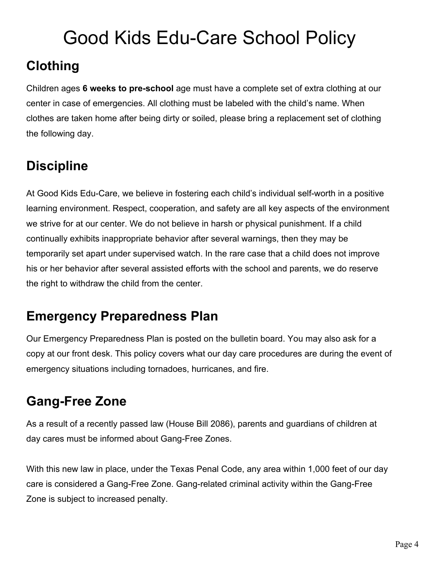### **Clothing**

Children ages **6 weeks to pre-school** age must have a complete set of extra clothing at our center in case of emergencies. All clothing must be labeled with the child's name. When clothes are taken home after being dirty or soiled, please bring a replacement set of clothing the following day.

### **Discipline**

At Good Kids Edu-Care, we believe in fostering each child's individual self-worth in a positive learning environment. Respect, cooperation, and safety are all key aspects of the environment we strive for at our center. We do not believe in harsh or physical punishment. If a child continually exhibits inappropriate behavior after several warnings, then they may be temporarily set apart under supervised watch. In the rare case that a child does not improve his or her behavior after several assisted efforts with the school and parents, we do reserve the right to withdraw the child from the center.

### **Emergency Preparedness Plan**

Our Emergency Preparedness Plan is posted on the bulletin board. You may also ask for a copy at our front desk. This policy covers what our day care procedures are during the event of emergency situations including tornadoes, hurricanes, and fire.

### **Gang-Free Zone**

As a result of a recently passed law (House Bill 2086), parents and guardians of children at day cares must be informed about Gang-Free Zones.

With this new law in place, under the Texas Penal Code, any area within 1,000 feet of our day care is considered a Gang-Free Zone. Gang-related criminal activity within the Gang-Free Zone is subject to increased penalty.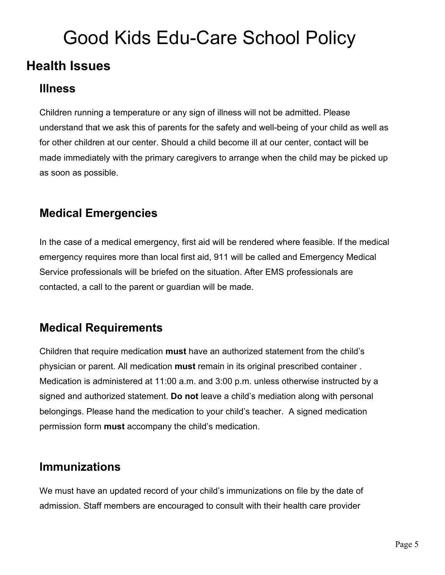#### **Health Issues**

#### **Illness**

Children running a temperature or any sign of illness will not be admitted. Please understand that we ask this of parents for the safety and well-being of your child as well as for other children at our center. Should a child become ill at our center, contact will be made immediately with the primary caregivers to arrange when the child may be picked up as soon as possible.

#### **Medical Emergencies**

In the case of a medical emergency, first aid will be rendered where feasible. If the medical emergency requires more than local first aid, 911 will be called and Emergency Medical Service professionals will be briefed on the situation. After EMS professionals are contacted, a call to the parent or guardian will be made.

#### **Medical Requirements**

Children that require medication **must** have an authorized statement from the child's physician or parent. All medication **must** remain in its original prescribed container . Medication is administered at 11:00 a.m. and 3:00 p.m. unless otherwise instructed by a signed and authorized statement. **Do not** leave a child's mediation along with personal belongings. Please hand the medication to your child's teacher. A signed medication permission form **must** accompany the child's medication.

#### **Immunizations**

We must have an updated record of your child's immunizations on file by the date of admission. Staff members are encouraged to consult with their health care provider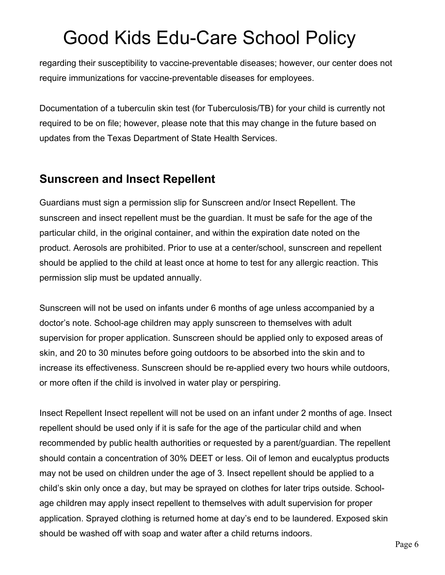regarding their susceptibility to vaccine-preventable diseases; however, our center does not require immunizations for vaccine-preventable diseases for employees.

Documentation of a tuberculin skin test (for Tuberculosis/TB) for your child is currently not required to be on file; however, please note that this may change in the future based on updates from the Texas Department of State Health Services.

#### **Sunscreen and Insect Repellent**

Guardians must sign a permission slip for Sunscreen and/or Insect Repellent. The sunscreen and insect repellent must be the guardian. It must be safe for the age of the particular child, in the original container, and within the expiration date noted on the product. Aerosols are prohibited. Prior to use at a center/school, sunscreen and repellent should be applied to the child at least once at home to test for any allergic reaction. This permission slip must be updated annually.

Sunscreen will not be used on infants under 6 months of age unless accompanied by a doctor's note. School-age children may apply sunscreen to themselves with adult supervision for proper application. Sunscreen should be applied only to exposed areas of skin, and 20 to 30 minutes before going outdoors to be absorbed into the skin and to increase its effectiveness. Sunscreen should be re-applied every two hours while outdoors, or more often if the child is involved in water play or perspiring.

Insect Repellent Insect repellent will not be used on an infant under 2 months of age. Insect repellent should be used only if it is safe for the age of the particular child and when recommended by public health authorities or requested by a parent/guardian. The repellent should contain a concentration of 30% DEET or less. Oil of lemon and eucalyptus products may not be used on children under the age of 3. Insect repellent should be applied to a child's skin only once a day, but may be sprayed on clothes for later trips outside. Schoolage children may apply insect repellent to themselves with adult supervision for proper application. Sprayed clothing is returned home at day's end to be laundered. Exposed skin should be washed off with soap and water after a child returns indoors.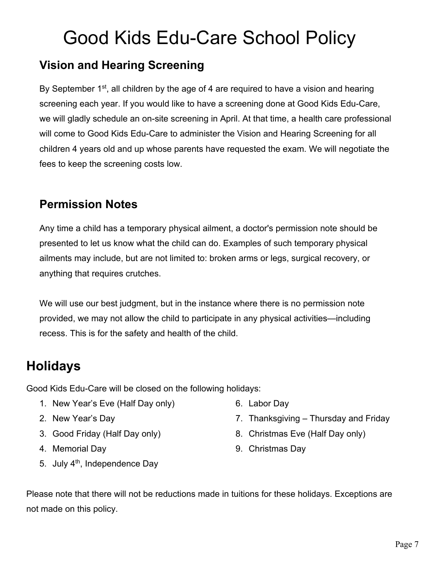#### **Vision and Hearing Screening**

By September  $1<sup>st</sup>$ , all children by the age of 4 are required to have a vision and hearing screening each year. If you would like to have a screening done at Good Kids Edu-Care, we will gladly schedule an on-site screening in April. At that time, a health care professional will come to Good Kids Edu-Care to administer the Vision and Hearing Screening for all children 4 years old and up whose parents have requested the exam. We will negotiate the fees to keep the screening costs low.

#### **Permission Notes**

Any time a child has a temporary physical ailment, a doctor's permission note should be presented to let us know what the child can do. Examples of such temporary physical ailments may include, but are not limited to: broken arms or legs, surgical recovery, or anything that requires crutches.

We will use our best judgment, but in the instance where there is no permission note provided, we may not allow the child to participate in any physical activities—including recess. This is for the safety and health of the child.

### **Holidays**

Good Kids Edu-Care will be closed on the following holidays:

- 1. New Year's Eve (Half Day only)
- 2. New Year's Day
- 3. Good Friday (Half Day only)
- 4. Memorial Day
- 5. July 4<sup>th</sup>, Independence Day
- 6. Labor Day
- 7. Thanksgiving Thursday and Friday
- 8. Christmas Eve (Half Day only)
- 9. Christmas Day

Please note that there will not be reductions made in tuitions for these holidays. Exceptions are not made on this policy.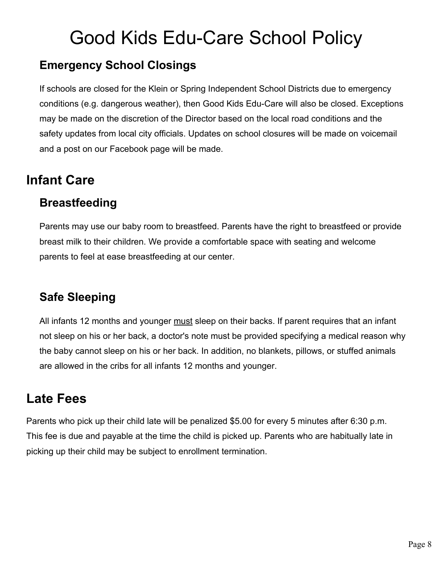#### **Emergency School Closings**

If schools are closed for the Klein or Spring Independent School Districts due to emergency conditions (e.g. dangerous weather), then Good Kids Edu-Care will also be closed. Exceptions may be made on the discretion of the Director based on the local road conditions and the safety updates from local city officials. Updates on school closures will be made on voicemail and a post on our Facebook page will be made.

### **Infant Care**

#### **Breastfeeding**

Parents may use our baby room to breastfeed. Parents have the right to breastfeed or provide breast milk to their children. We provide a comfortable space with seating and welcome parents to feel at ease breastfeeding at our center.

#### **Safe Sleeping**

All infants 12 months and younger must sleep on their backs. If parent requires that an infant not sleep on his or her back, a doctor's note must be provided specifying a medical reason why the baby cannot sleep on his or her back. In addition, no blankets, pillows, or stuffed animals are allowed in the cribs for all infants 12 months and younger.

### **Late Fees**

Parents who pick up their child late will be penalized \$5.00 for every 5 minutes after 6:30 p.m. This fee is due and payable at the time the child is picked up. Parents who are habitually late in picking up their child may be subject to enrollment termination.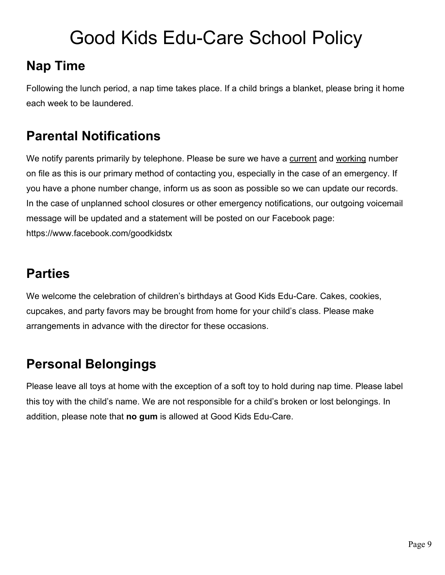### **Nap Time**

Following the lunch period, a nap time takes place. If a child brings a blanket, please bring it home each week to be laundered.

#### **Parental Notifications**

We notify parents primarily by telephone. Please be sure we have a current and working number on file as this is our primary method of contacting you, especially in the case of an emergency. If you have a phone number change, inform us as soon as possible so we can update our records. In the case of unplanned school closures or other emergency notifications, our outgoing voicemail message will be updated and a statement will be posted on our Facebook page: https://www.facebook.com/goodkidstx

#### **Parties**

We welcome the celebration of children's birthdays at Good Kids Edu-Care. Cakes, cookies, cupcakes, and party favors may be brought from home for your child's class. Please make arrangements in advance with the director for these occasions.

#### **Personal Belongings**

Please leave all toys at home with the exception of a soft toy to hold during nap time. Please label this toy with the child's name. We are not responsible for a child's broken or lost belongings. In addition, please note that **no gum** is allowed at Good Kids Edu-Care.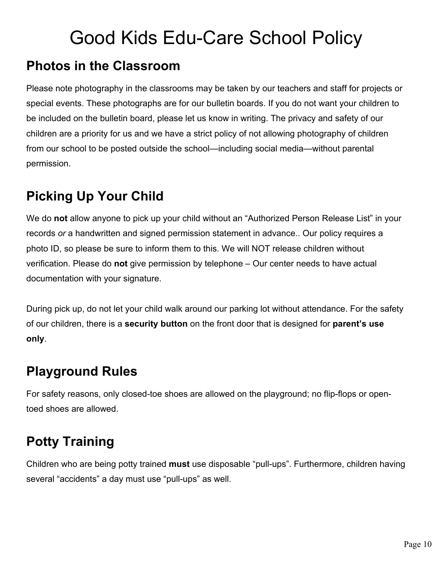#### **Photos in the Classroom**

Please note photography in the classrooms may be taken by our teachers and staff for projects or special events. These photographs are for our bulletin boards. If you do not want your children to be included on the bulletin board, please let us know in writing. The privacy and safety of our children are a priority for us and we have a strict policy of not allowing photography of children from our school to be posted outside the school—including social media—without parental permission.

### **Picking Up Your Child**

We do **not** allow anyone to pick up your child without an "Authorized Person Release List" in your records *or* a handwritten and signed permission statement in advance.. Our policy requires a photo ID, so please be sure to inform them to this. We will NOT release children without verification. Please do **not** give permission by telephone – Our center needs to have actual documentation with your signature.

During pick up, do not let your child walk around our parking lot without attendance. For the safety of our children, there is a **security button** on the front door that is designed for **parent's use only**.

### **Playground Rules**

For safety reasons, only closed-toe shoes are allowed on the playground; no flip-flops or opentoed shoes are allowed.

### **Potty Training**

Children who are being potty trained **must** use disposable "pull-ups". Furthermore, children having several "accidents" a day must use "pull-ups" as well.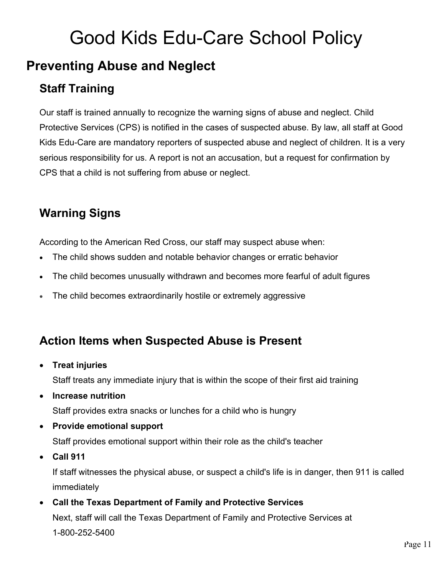#### **Preventing Abuse and Neglect**

#### **Staff Training**

Our staff is trained annually to recognize the warning signs of abuse and neglect. Child Protective Services (CPS) is notified in the cases of suspected abuse. By law, all staff at Good Kids Edu-Care are mandatory reporters of suspected abuse and neglect of children. It is a very serious responsibility for us. A report is not an accusation, but a request for confirmation by CPS that a child is not suffering from abuse or neglect.

#### **Warning Signs**

According to the American Red Cross, our staff may suspect abuse when:

- The child shows sudden and notable behavior changes or erratic behavior
- The child becomes unusually withdrawn and becomes more fearful of adult figures
- The child becomes extraordinarily hostile or extremely aggressive

#### **Action Items when Suspected Abuse is Present**

• **Treat injuries**

Staff treats any immediate injury that is within the scope of their first aid training

• **Increase nutrition**

Staff provides extra snacks or lunches for a child who is hungry

• **Provide emotional support**

Staff provides emotional support within their role as the child's teacher

• **Call 911**

If staff witnesses the physical abuse, or suspect a child's life is in danger, then 911 is called immediately

• **Call the Texas Department of Family and Protective Services** Next, staff will call the Texas Department of Family and Protective Services at 1-800-252-5400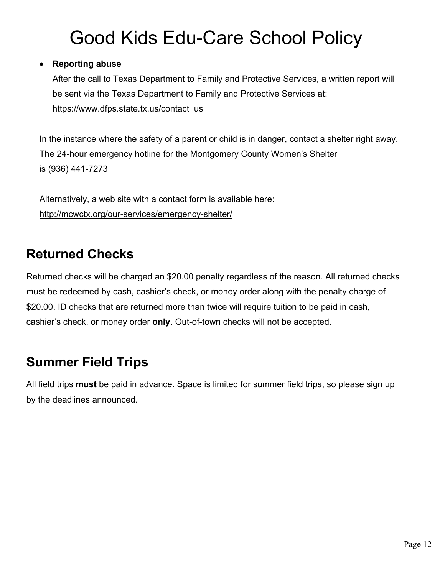#### • **Reporting abuse**

After the call to Texas Department to Family and Protective Services, a written report will be sent via the Texas Department to Family and Protective Services at: https://www.dfps.state.tx.us/contact\_us

In the instance where the safety of a parent or child is in danger, contact a shelter right away. The 24-hour emergency hotline for the Montgomery County Women's Shelter is (936) 441-7273

Alternatively, a web site with a contact form is available here: http://mcwctx.org/our-services/emergency-shelter/

#### **Returned Checks**

Returned checks will be charged an \$20.00 penalty regardless of the reason. All returned checks must be redeemed by cash, cashier's check, or money order along with the penalty charge of \$20.00. ID checks that are returned more than twice will require tuition to be paid in cash, cashier's check, or money order **only**. Out-of-town checks will not be accepted.

#### **Summer Field Trips**

All field trips **must** be paid in advance. Space is limited for summer field trips, so please sign up by the deadlines announced.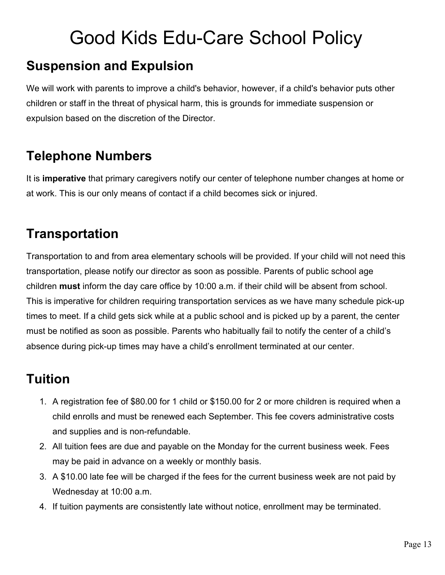#### **Suspension and Expulsion**

We will work with parents to improve a child's behavior, however, if a child's behavior puts other children or staff in the threat of physical harm, this is grounds for immediate suspension or expulsion based on the discretion of the Director.

### **Telephone Numbers**

It is **imperative** that primary caregivers notify our center of telephone number changes at home or at work. This is our only means of contact if a child becomes sick or injured.

### **Transportation**

Transportation to and from area elementary schools will be provided. If your child will not need this transportation, please notify our director as soon as possible. Parents of public school age children **must** inform the day care office by 10:00 a.m. if their child will be absent from school. This is imperative for children requiring transportation services as we have many schedule pick-up times to meet. If a child gets sick while at a public school and is picked up by a parent, the center must be notified as soon as possible. Parents who habitually fail to notify the center of a child's absence during pick-up times may have a child's enrollment terminated at our center.

#### **Tuition**

- 1. A registration fee of \$80.00 for 1 child or \$150.00 for 2 or more children is required when a child enrolls and must be renewed each September. This fee covers administrative costs and supplies and is non-refundable.
- 2. All tuition fees are due and payable on the Monday for the current business week. Fees may be paid in advance on a weekly or monthly basis.
- 3. A \$10.00 late fee will be charged if the fees for the current business week are not paid by Wednesday at 10:00 a.m.
- 4. If tuition payments are consistently late without notice, enrollment may be terminated.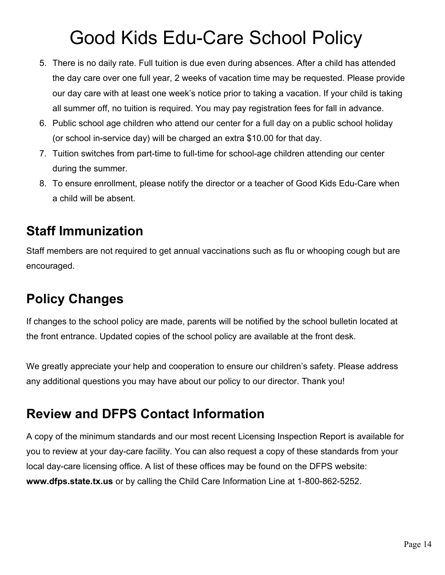- 5. There is no daily rate. Full tuition is due even during absences. After a child has attended the day care over one full year, 2 weeks of vacation time may be requested. Please provide our day care with at least one week's notice prior to taking a vacation. If your child is taking all summer off, no tuition is required. You may pay registration fees for fall in advance.
- 6. Public school age children who attend our center for a full day on a public school holiday (or school in-service day) will be charged an extra \$10.00 for that day.
- 7. Tuition switches from part-time to full-time for school-age children attending our center during the summer.
- 8. To ensure enrollment, please notify the director or a teacher of Good Kids Edu-Care when a child will be absent.

#### **Staff Immunization**

Staff members are not required to get annual vaccinations such as flu or whooping cough but are encouraged.

### **Policy Changes**

If changes to the school policy are made, parents will be notified by the school bulletin located at the front entrance. Updated copies of the school policy are available at the front desk.

We greatly appreciate your help and cooperation to ensure our children's safety. Please address any additional questions you may have about our policy to our director. Thank you!

#### **Review and DFPS Contact Information**

A copy of the minimum standards and our most recent Licensing Inspection Report is available for you to review at your day-care facility. You can also request a copy of these standards from your local day-care licensing office. A list of these offices may be found on the DFPS website: **www.dfps.state.tx.us** or by calling the Child Care Information Line at 1-800-862-5252.